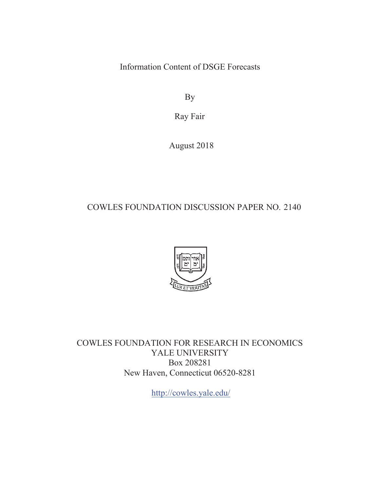Information Content of DSGE Forecasts

By

Ray Fair

August 2018

# COWLES FOUNDATION DISCUSSION PAPER NO. 2140



COWLES FOUNDATION FOR RESEARCH IN ECONOMICS YALE UNIVERSITY Box 208281 New Haven, Connecticut 06520-8281

http://cowles.yale.edu/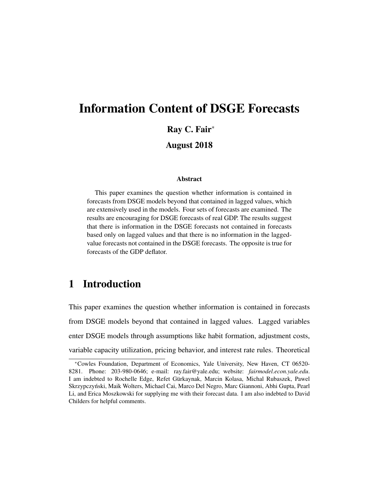# Information Content of DSGE Forecasts Ray C. Fair<sup>∗</sup> August 2018

#### Abstract

This paper examines the question whether information is contained in forecasts from DSGE models beyond that contained in lagged values, which are extensively used in the models. Four sets of forecasts are examined. The results are encouraging for DSGE forecasts of real GDP. The results suggest that there is information in the DSGE forecasts not contained in forecasts based only on lagged values and that there is no information in the laggedvalue forecasts not contained in the DSGE forecasts. The opposite is true for forecasts of the GDP deflator.

# 1 Introduction

This paper examines the question whether information is contained in forecasts from DSGE models beyond that contained in lagged values. Lagged variables enter DSGE models through assumptions like habit formation, adjustment costs, variable capacity utilization, pricing behavior, and interest rate rules. Theoretical

<sup>∗</sup>Cowles Foundation, Department of Economics, Yale University, New Haven, CT 06520- 8281. Phone: 203-980-0646; e-mail: ray.fair@yale.edu; website: *fairmodel.econ.yale.edu*. I am indebted to Rochelle Edge, Refet Gürkaynak, Marcin Kolasa, Michal Rubaszek, Pawel Skrzypczyński, Maik Wolters, Michael Cai, Marco Del Negro, Marc Giannoni, Abhi Gupta, Pearl Li, and Erica Moszkowski for supplying me with their forecast data. I am also indebted to David Childers for helpful comments.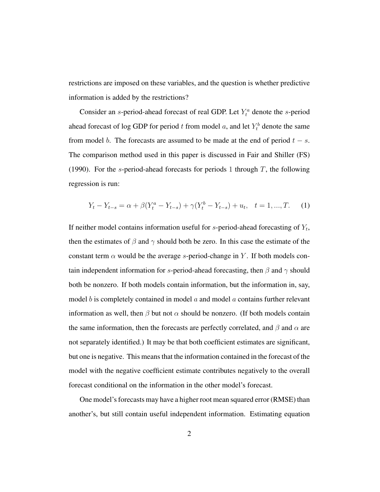restrictions are imposed on these variables, and the question is whether predictive information is added by the restrictions?

Consider an s-period-ahead forecast of real GDP. Let  $Y_t^a$  denote the s-period ahead forecast of log GDP for period t from model a, and let  $Y_t^b$  denote the same from model b. The forecasts are assumed to be made at the end of period  $t - s$ . The comparison method used in this paper is discussed in Fair and Shiller (FS) (1990). For the s-period-ahead forecasts for periods 1 through  $T$ , the following regression is run:

$$
Y_t - Y_{t-s} = \alpha + \beta (Y_t^a - Y_{t-s}) + \gamma (Y_t^b - Y_{t-s}) + u_t, \quad t = 1, ..., T.
$$
 (1)

If neither model contains information useful for  $s$ -period-ahead forecasting of  $Y_t$ , then the estimates of  $\beta$  and  $\gamma$  should both be zero. In this case the estimate of the constant term  $\alpha$  would be the average s-period-change in Y. If both models contain independent information for s-period-ahead forecasting, then  $\beta$  and  $\gamma$  should both be nonzero. If both models contain information, but the information in, say, model b is completely contained in model  $\alpha$  and model  $\alpha$  contains further relevant information as well, then  $\beta$  but not  $\alpha$  should be nonzero. (If both models contain the same information, then the forecasts are perfectly correlated, and  $\beta$  and  $\alpha$  are not separately identified.) It may be that both coefficient estimates are significant, but one is negative. This means that the information contained in the forecast of the model with the negative coefficient estimate contributes negatively to the overall forecast conditional on the information in the other model's forecast.

One model's forecasts may have a higher root mean squared error (RMSE) than another's, but still contain useful independent information. Estimating equation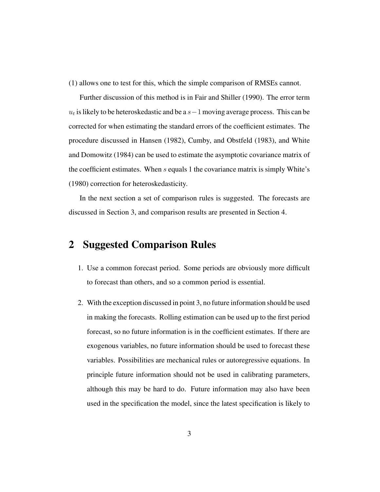(1) allows one to test for this, which the simple comparison of RMSEs cannot.

Further discussion of this method is in Fair and Shiller (1990). The error term  $u_t$  is likely to be heteroskedastic and be a  $s-1$  moving average process. This can be corrected for when estimating the standard errors of the coefficient estimates. The procedure discussed in Hansen (1982), Cumby, and Obstfeld (1983), and White and Domowitz (1984) can be used to estimate the asymptotic covariance matrix of the coefficient estimates. When  $s$  equals 1 the covariance matrix is simply White's (1980) correction for heteroskedasticity.

In the next section a set of comparison rules is suggested. The forecasts are discussed in Section 3, and comparison results are presented in Section 4.

### 2 Suggested Comparison Rules

- 1. Use a common forecast period. Some periods are obviously more difficult to forecast than others, and so a common period is essential.
- 2. With the exception discussed in point 3, no future information should be used in making the forecasts. Rolling estimation can be used up to the first period forecast, so no future information is in the coefficient estimates. If there are exogenous variables, no future information should be used to forecast these variables. Possibilities are mechanical rules or autoregressive equations. In principle future information should not be used in calibrating parameters, although this may be hard to do. Future information may also have been used in the specification the model, since the latest specification is likely to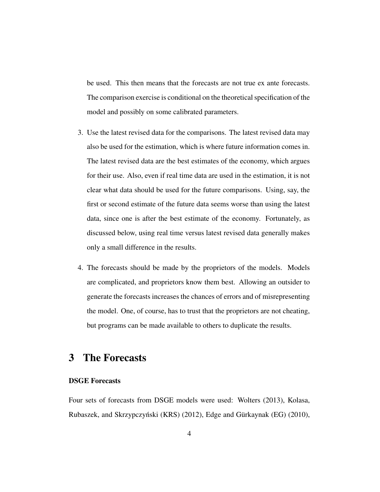be used. This then means that the forecasts are not true ex ante forecasts. The comparison exercise is conditional on the theoretical specification of the model and possibly on some calibrated parameters.

- 3. Use the latest revised data for the comparisons. The latest revised data may also be used for the estimation, which is where future information comes in. The latest revised data are the best estimates of the economy, which argues for their use. Also, even if real time data are used in the estimation, it is not clear what data should be used for the future comparisons. Using, say, the first or second estimate of the future data seems worse than using the latest data, since one is after the best estimate of the economy. Fortunately, as discussed below, using real time versus latest revised data generally makes only a small difference in the results.
- 4. The forecasts should be made by the proprietors of the models. Models are complicated, and proprietors know them best. Allowing an outsider to generate the forecasts increases the chances of errors and of misrepresenting the model. One, of course, has to trust that the proprietors are not cheating, but programs can be made available to others to duplicate the results.

# 3 The Forecasts

#### DSGE Forecasts

Four sets of forecasts from DSGE models were used: Wolters (2013), Kolasa, Rubaszek, and Skrzypczyński (KRS) (2012), Edge and Gürkaynak (EG) (2010),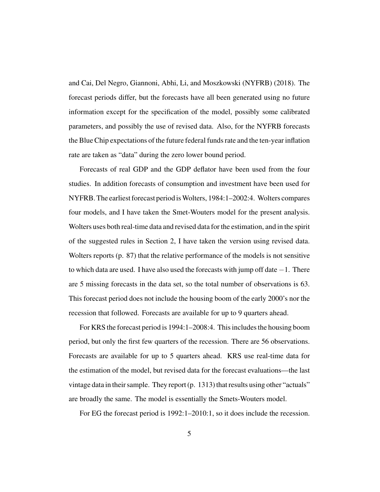and Cai, Del Negro, Giannoni, Abhi, Li, and Moszkowski (NYFRB) (2018). The forecast periods differ, but the forecasts have all been generated using no future information except for the specification of the model, possibly some calibrated parameters, and possibly the use of revised data. Also, for the NYFRB forecasts the Blue Chip expectations of the future federal funds rate and the ten-year inflation rate are taken as "data" during the zero lower bound period.

Forecasts of real GDP and the GDP deflator have been used from the four studies. In addition forecasts of consumption and investment have been used for NYFRB. The earliest forecast period isWolters, 1984:1–2002:4. Wolters compares four models, and I have taken the Smet-Wouters model for the present analysis. Wolters uses both real-time data and revised data for the estimation, and in the spirit of the suggested rules in Section 2, I have taken the version using revised data. Wolters reports (p. 87) that the relative performance of the models is not sensitive to which data are used. I have also used the forecasts with jump off date  $-1$ . There are 5 missing forecasts in the data set, so the total number of observations is 63. This forecast period does not include the housing boom of the early 2000's nor the recession that followed. Forecasts are available for up to 9 quarters ahead.

For KRS the forecast period is 1994:1–2008:4. This includes the housing boom period, but only the first few quarters of the recession. There are 56 observations. Forecasts are available for up to 5 quarters ahead. KRS use real-time data for the estimation of the model, but revised data for the forecast evaluations—the last vintage data in their sample. They report (p. 1313) that results using other "actuals" are broadly the same. The model is essentially the Smets-Wouters model.

For EG the forecast period is 1992:1–2010:1, so it does include the recession.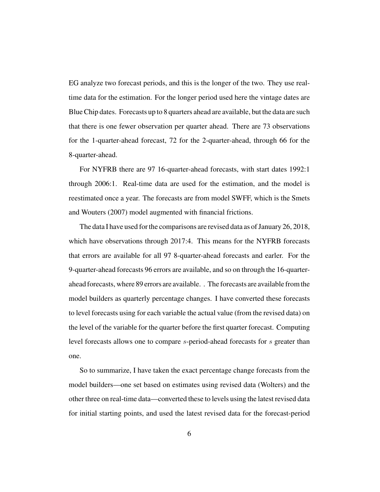EG analyze two forecast periods, and this is the longer of the two. They use realtime data for the estimation. For the longer period used here the vintage dates are Blue Chip dates. Forecasts up to 8 quarters ahead are available, but the data are such that there is one fewer observation per quarter ahead. There are 73 observations for the 1-quarter-ahead forecast, 72 for the 2-quarter-ahead, through 66 for the 8-quarter-ahead.

For NYFRB there are 97 16-quarter-ahead forecasts, with start dates 1992:1 through 2006:1. Real-time data are used for the estimation, and the model is reestimated once a year. The forecasts are from model SWFF, which is the Smets and Wouters (2007) model augmented with financial frictions.

The data I have used for the comparisons are revised data as of January 26, 2018, which have observations through 2017:4. This means for the NYFRB forecasts that errors are available for all 97 8-quarter-ahead forecasts and earler. For the 9-quarter-ahead forecasts 96 errors are available, and so on through the 16-quarterahead forecasts, where 89 errors are available. . The forecasts are available from the model builders as quarterly percentage changes. I have converted these forecasts to level forecasts using for each variable the actual value (from the revised data) on the level of the variable for the quarter before the first quarter forecast. Computing level forecasts allows one to compare s-period-ahead forecasts for s greater than one.

So to summarize, I have taken the exact percentage change forecasts from the model builders—one set based on estimates using revised data (Wolters) and the other three on real-time data—converted these to levels using the latest revised data for initial starting points, and used the latest revised data for the forecast-period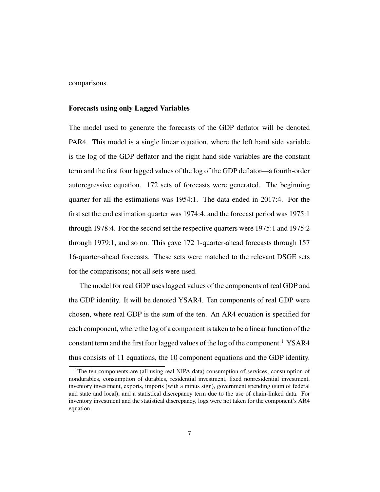comparisons.

#### Forecasts using only Lagged Variables

The model used to generate the forecasts of the GDP deflator will be denoted PAR4. This model is a single linear equation, where the left hand side variable is the log of the GDP deflator and the right hand side variables are the constant term and the first four lagged values of the log of the GDP deflator—a fourth-order autoregressive equation. 172 sets of forecasts were generated. The beginning quarter for all the estimations was 1954:1. The data ended in 2017:4. For the first set the end estimation quarter was 1974:4, and the forecast period was 1975:1 through 1978:4. For the second set the respective quarters were 1975:1 and 1975:2 through 1979:1, and so on. This gave 172 1-quarter-ahead forecasts through 157 16-quarter-ahead forecasts. These sets were matched to the relevant DSGE sets for the comparisons; not all sets were used.

The model for real GDP uses lagged values of the components of real GDP and the GDP identity. It will be denoted YSAR4. Ten components of real GDP were chosen, where real GDP is the sum of the ten. An AR4 equation is specified for each component, where the log of a component is taken to be a linear function of the constant term and the first four lagged values of the log of the component.<sup>1</sup> YSAR4 thus consists of 11 equations, the 10 component equations and the GDP identity.

<sup>&</sup>lt;sup>1</sup>The ten components are (all using real NIPA data) consumption of services, consumption of nondurables, consumption of durables, residential investment, fixed nonresidential investment, inventory investment, exports, imports (with a minus sign), government spending (sum of federal and state and local), and a statistical discrepancy term due to the use of chain-linked data. For inventory investment and the statistical discrepancy, logs were not taken for the component's AR4 equation.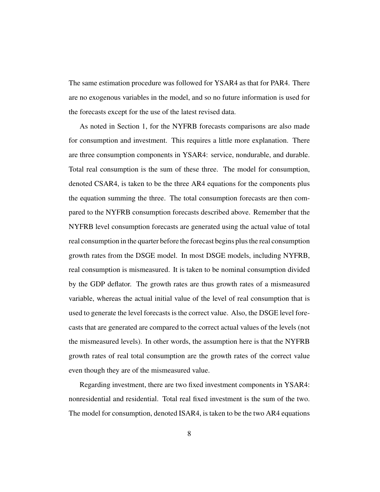The same estimation procedure was followed for YSAR4 as that for PAR4. There are no exogenous variables in the model, and so no future information is used for the forecasts except for the use of the latest revised data.

As noted in Section 1, for the NYFRB forecasts comparisons are also made for consumption and investment. This requires a little more explanation. There are three consumption components in YSAR4: service, nondurable, and durable. Total real consumption is the sum of these three. The model for consumption, denoted CSAR4, is taken to be the three AR4 equations for the components plus the equation summing the three. The total consumption forecasts are then compared to the NYFRB consumption forecasts described above. Remember that the NYFRB level consumption forecasts are generated using the actual value of total real consumption in the quarter before the forecast begins plus the real consumption growth rates from the DSGE model. In most DSGE models, including NYFRB, real consumption is mismeasured. It is taken to be nominal consumption divided by the GDP deflator. The growth rates are thus growth rates of a mismeasured variable, whereas the actual initial value of the level of real consumption that is used to generate the level forecasts is the correct value. Also, the DSGE level forecasts that are generated are compared to the correct actual values of the levels (not the mismeasured levels). In other words, the assumption here is that the NYFRB growth rates of real total consumption are the growth rates of the correct value even though they are of the mismeasured value.

Regarding investment, there are two fixed investment components in YSAR4: nonresidential and residential. Total real fixed investment is the sum of the two. The model for consumption, denoted ISAR4, is taken to be the two AR4 equations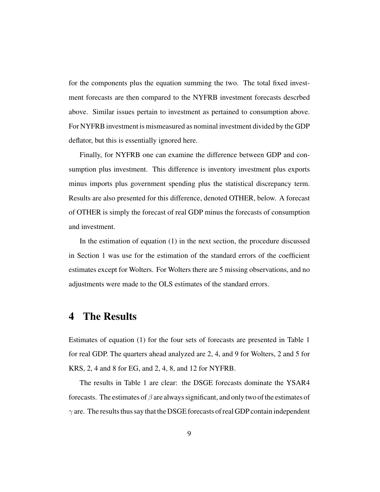for the components plus the equation summing the two. The total fixed investment forecasts are then compared to the NYFRB investment forecasts descrbed above. Similar issues pertain to investment as pertained to consumption above. For NYFRB investment is mismeasured as nominal investment divided by the GDP deflator, but this is essentially ignored here.

Finally, for NYFRB one can examine the difference between GDP and consumption plus investment. This difference is inventory investment plus exports minus imports plus government spending plus the statistical discrepancy term. Results are also presented for this difference, denoted OTHER, below. A forecast of OTHER is simply the forecast of real GDP minus the forecasts of consumption and investment.

In the estimation of equation (1) in the next section, the procedure discussed in Section 1 was use for the estimation of the standard errors of the coefficient estimates except for Wolters. For Wolters there are 5 missing observations, and no adjustments were made to the OLS estimates of the standard errors.

# 4 The Results

Estimates of equation (1) for the four sets of forecasts are presented in Table 1 for real GDP. The quarters ahead analyzed are 2, 4, and 9 for Wolters, 2 and 5 for KRS, 2, 4 and 8 for EG, and 2, 4, 8, and 12 for NYFRB.

The results in Table 1 are clear: the DSGE forecasts dominate the YSAR4 forecasts. The estimates of  $\beta$  are always significant, and only two of the estimates of  $\gamma$  are. The results thus say that the DSGE forecasts of real GDP contain independent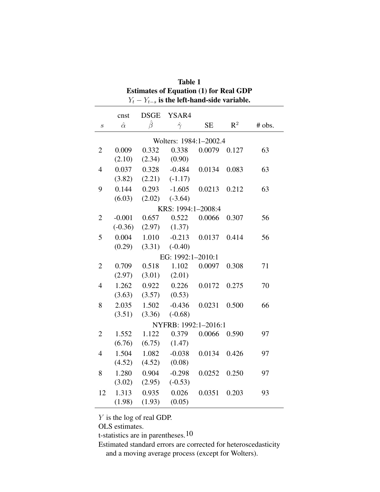| 2000 117 101 1100 111<br>$Y_t - Y_{t-s}$ is the left-hand-side variable. |                |               |                      |           |                |        |  |
|--------------------------------------------------------------------------|----------------|---------------|----------------------|-----------|----------------|--------|--|
|                                                                          | cnst           | <b>DSGE</b>   | YSAR4                |           |                |        |  |
| $\boldsymbol{S}$                                                         | $\hat{\alpha}$ | $\hat{\beta}$ | $\hat{\gamma}$       | <b>SE</b> | $\mathbb{R}^2$ | # obs. |  |
| Wolters: 1984:1-2002.4                                                   |                |               |                      |           |                |        |  |
| $\overline{2}$                                                           | 0.009          | 0.332         | 0.338                | 0.0079    | 0.127          | 63     |  |
|                                                                          | (2.10)         | (2.34)        | (0.90)               |           |                |        |  |
| $\overline{4}$                                                           | 0.037          | 0.328         | $-0.484$             | 0.0134    | 0.083          | 63     |  |
|                                                                          | (3.82)         |               | $(2.21)$ $(-1.17)$   |           |                |        |  |
| 9                                                                        | 0.144          | 0.293         | $-1.605$             | 0.0213    | 0.212          | 63     |  |
|                                                                          | (6.03)         | (2.02)        | $(-3.64)$            |           |                |        |  |
|                                                                          |                |               | KRS: 1994:1-2008:4   |           |                |        |  |
| $\overline{2}$                                                           | $-0.001$       | 0.657         | 0.522                | 0.0066    | 0.307          | 56     |  |
|                                                                          | $(-0.36)$      | (2.97)        | (1.37)               |           |                |        |  |
| 5                                                                        | 0.004          | 1.010         | $-0.213$             | 0.0137    | 0.414          | 56     |  |
|                                                                          | (0.29)         | (3.31)        | $(-0.40)$            |           |                |        |  |
|                                                                          |                |               | EG: 1992:1-2010:1    |           |                |        |  |
| $\overline{2}$                                                           | 0.709          | 0.518         | 1.102                | 0.0097    | 0.308          | 71     |  |
|                                                                          | (2.97)         | (3.01)        | (2.01)               |           |                |        |  |
| $\overline{4}$                                                           | 1.262          | 0.922         | 0.226                | 0.0172    | 0.275          | 70     |  |
|                                                                          | (3.63)         | (3.57)        | (0.53)               |           |                |        |  |
| 8                                                                        | 2.035          | 1.502         | $-0.436$             | 0.0231    | 0.500          | 66     |  |
|                                                                          | (3.51)         | (3.36)        | $(-0.68)$            |           |                |        |  |
|                                                                          |                |               | NYFRB: 1992:1-2016:1 |           |                |        |  |
| $\overline{2}$                                                           | 1.552          | 1.122         | 0.379                | 0.0066    | 0.590          | 97     |  |
|                                                                          | (6.76)         | (6.75)        | (1.47)               |           |                |        |  |
| $\overline{4}$                                                           | 1.504          | 1.082         | $-0.038$             | 0.0134    | 0.426          | 97     |  |
|                                                                          | (4.52)         | (4.52)        | (0.08)               |           |                |        |  |
| 8                                                                        | 1.280          | 0.904         | $-0.298$             | 0.0252    | 0.250          | 97     |  |
|                                                                          | (3.02)         | (2.95)        | $(-0.53)$            |           |                |        |  |
| 12                                                                       | 1.313          | 0.935         | 0.026                | 0.0351    | 0.203          | 93     |  |
|                                                                          | (1.98)         | (1.93)        | (0.05)               |           |                |        |  |

| <b>Table 1</b>                                  |
|-------------------------------------------------|
| <b>Estimates of Equation (1) for Real GDP</b>   |
| $Y_t - Y_{t-s}$ is the left-hand-side variable. |

Y is the log of real GDP.

OLS estimates.

t-statistics are in parentheses.<sup>10</sup>

Estimated standard errors are corrected for heteroscedasticity and a moving average process (except for Wolters).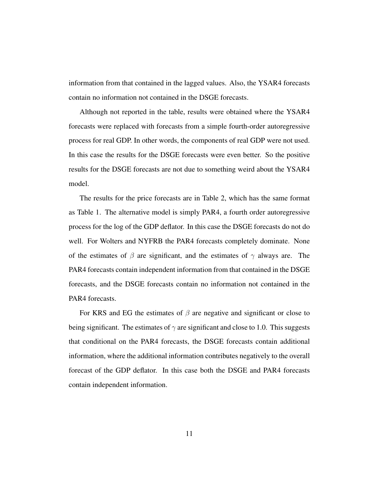information from that contained in the lagged values. Also, the YSAR4 forecasts contain no information not contained in the DSGE forecasts.

Although not reported in the table, results were obtained where the YSAR4 forecasts were replaced with forecasts from a simple fourth-order autoregressive process for real GDP. In other words, the components of real GDP were not used. In this case the results for the DSGE forecasts were even better. So the positive results for the DSGE forecasts are not due to something weird about the YSAR4 model.

The results for the price forecasts are in Table 2, which has the same format as Table 1. The alternative model is simply PAR4, a fourth order autoregressive process for the log of the GDP deflator. In this case the DSGE forecasts do not do well. For Wolters and NYFRB the PAR4 forecasts completely dominate. None of the estimates of  $\beta$  are significant, and the estimates of  $\gamma$  always are. The PAR4 forecasts contain independent information from that contained in the DSGE forecasts, and the DSGE forecasts contain no information not contained in the PAR4 forecasts.

For KRS and EG the estimates of  $\beta$  are negative and significant or close to being significant. The estimates of  $\gamma$  are significant and close to 1.0. This suggests that conditional on the PAR4 forecasts, the DSGE forecasts contain additional information, where the additional information contributes negatively to the overall forecast of the GDP deflator. In this case both the DSGE and PAR4 forecasts contain independent information.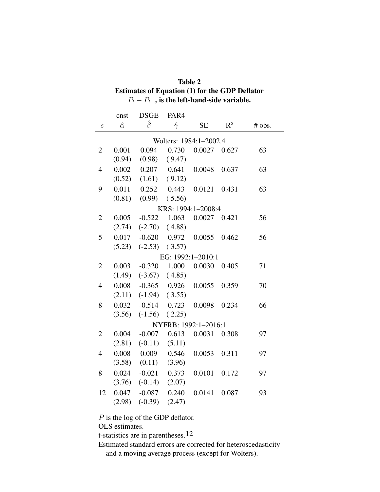| <b>Estimates of Equation (1) for the GDP Deflator</b> |                |             |                |                      |       |        |  |  |
|-------------------------------------------------------|----------------|-------------|----------------|----------------------|-------|--------|--|--|
| $P_t - P_{t-s}$ is the left-hand-side variable.       |                |             |                |                      |       |        |  |  |
|                                                       | cnst           | <b>DSGE</b> | PAR4           |                      |       |        |  |  |
| $\boldsymbol{S}$                                      | $\hat{\alpha}$ | Ĝ           | $\hat{\gamma}$ | <b>SE</b>            | $R^2$ | # obs. |  |  |
| Wolters: 1984:1-2002.4                                |                |             |                |                      |       |        |  |  |
| $\overline{2}$                                        | 0.001          | 0.094       | 0.730          | 0.0027               | 0.627 | 63     |  |  |
|                                                       | (0.94)         | (0.98)      | (9.47)         |                      |       |        |  |  |
| $\overline{4}$                                        | 0.002          | 0.207       | 0.641          | 0.0048               | 0.637 | 63     |  |  |
|                                                       | (0.52)         | (1.61)      | (9.12)         |                      |       |        |  |  |
| 9                                                     | 0.011          | 0.252       | 0.443          | 0.0121               | 0.431 | 63     |  |  |
|                                                       | (0.81)         | (0.99)      | (5.56)         |                      |       |        |  |  |
| KRS: 1994:1-2008:4                                    |                |             |                |                      |       |        |  |  |
| $\overline{2}$                                        | 0.005          | $-0.522$    | 1.063          | 0.0027               | 0.421 | 56     |  |  |
|                                                       | (2.74)         | $(-2.70)$   | (4.88)         |                      |       |        |  |  |
| 5                                                     | 0.017          | $-0.620$    | 0.972          | 0.0055               | 0.462 | 56     |  |  |
|                                                       | (5.23)         | $(-2.53)$   | (3.57)         |                      |       |        |  |  |
|                                                       |                |             |                | EG: 1992:1-2010:1    |       |        |  |  |
| $\overline{2}$                                        | 0.003          | $-0.320$    | 1.000          | 0.0030               | 0.405 | 71     |  |  |
|                                                       | (1.49)         | $(-3.67)$   | (4.85)         |                      |       |        |  |  |
| $\overline{4}$                                        | 0.008          | $-0.365$    | 0.926          | 0.0055               | 0.359 | 70     |  |  |
|                                                       | (2.11)         | $(-1.94)$   | (3.55)         |                      |       |        |  |  |
| 8                                                     | 0.032          | $-0.514$    | 0.723          | 0.0098               | 0.234 | 66     |  |  |
|                                                       | (3.56)         | $(-1.56)$   | (2.25)         |                      |       |        |  |  |
|                                                       |                |             |                | NYFRB: 1992:1-2016:1 |       |        |  |  |
| $\overline{2}$                                        | 0.004          | $-0.007$    | 0.613          | 0.0031               | 0.308 | 97     |  |  |
|                                                       | (2.81)         | $(-0.11)$   | (5.11)         |                      |       |        |  |  |
| $\overline{4}$                                        | 0.008          | 0.009       | 0.546          | 0.0053               | 0.311 | 97     |  |  |
|                                                       | (3.58)         | (0.11)      | (3.96)         |                      |       |        |  |  |
| 8                                                     | 0.024          | $-0.021$    | 0.373          | 0.0101               | 0.172 | 97     |  |  |
|                                                       | (3.76)         | $(-0.14)$   | (2.07)         |                      |       |        |  |  |
| 12                                                    | 0.047          | $-0.087$    | 0.240          | 0.0141               | 0.087 | 93     |  |  |
|                                                       | (2.98)         | $(-0.39)$   | (2.47)         |                      |       |        |  |  |

Table 2

 $\mathcal P$  is the log of the GDP deflator.

OLS estimates.

t-statistics are in parentheses.<sup>12</sup>

Estimated standard errors are corrected for heteroscedasticity and a moving average process (except for Wolters).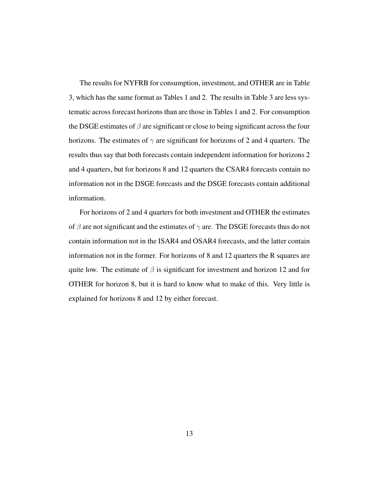The results for NYFRB for consumption, investment, and OTHER are in Table 3, which has the same format as Tables 1 and 2. The results in Table 3 are less systematic across forecast horizons than are those in Tables 1 and 2. For consumption the DSGE estimates of  $\beta$  are significant or close to being significant across the four horizons. The estimates of  $\gamma$  are significant for horizons of 2 and 4 quarters. The results thus say that both forecasts contain independent information for horizons 2 and 4 quarters, but for horizons 8 and 12 quarters the CSAR4 forecasts contain no information not in the DSGE forecasts and the DSGE forecasts contain additional information.

For horizons of 2 and 4 quarters for both investment and OTHER the estimates of  $\beta$  are not significant and the estimates of  $\gamma$  are. The DSGE forecasts thus do not contain information not in the ISAR4 and OSAR4 forecasts, and the latter contain information not in the former. For horizons of 8 and 12 quarters the R squares are quite low. The estimate of  $\beta$  is significant for investment and horizon 12 and for OTHER for horizon 8, but it is hard to know what to make of this. Very little is explained for horizons 8 and 12 by either forecast.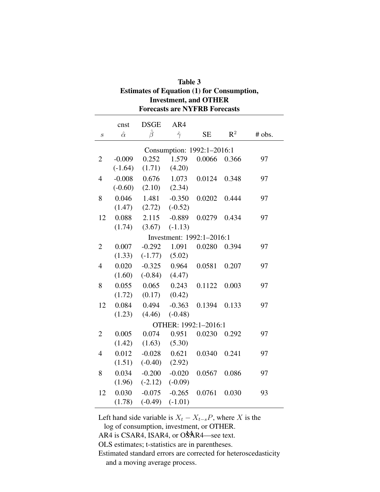| Table 3                                           |
|---------------------------------------------------|
| <b>Estimates of Equation (1) for Consumption,</b> |
| <b>Investment, and OTHER</b>                      |
| <b>Forecasts are NYFRB Forecasts</b>              |

|                      | cnst                       | <b>DSGE</b> | AR4                       |           |                |        |  |
|----------------------|----------------------------|-------------|---------------------------|-----------|----------------|--------|--|
| $\boldsymbol{S}$     | $\hat{\alpha}$             | Ĝ           | $\hat{\gamma}$            | <b>SE</b> | $\mathbb{R}^2$ | # obs. |  |
|                      | Consumption: 1992:1-2016:1 |             |                           |           |                |        |  |
| $\overline{2}$       | $-0.009$                   | 0.252       | 1.579                     | 0.0066    | 0.366          | 97     |  |
|                      | $(-1.64)$                  | (1.71)      | (4.20)                    |           |                |        |  |
| $\overline{4}$       | $-0.008$                   | 0.676       | 1.073                     | 0.0124    | 0.348          | 97     |  |
|                      | $(-0.60)$                  | (2.10)      | (2.34)                    |           |                |        |  |
| 8                    | 0.046                      | 1.481       | $-0.350$                  | 0.0202    | 0.444          | 97     |  |
|                      | (1.47)                     | (2.72)      | $(-0.52)$                 |           |                |        |  |
| 12                   | 0.088                      | 2.115       | $-0.889$                  | 0.0279    | 0.434          | 97     |  |
|                      | (1.74)                     | (3.67)      | $(-1.13)$                 |           |                |        |  |
|                      |                            |             | Investment: 1992:1-2016:1 |           |                |        |  |
| $\overline{2}$       | 0.007                      | $-0.292$    | 1.091                     | 0.0280    | 0.394          | 97     |  |
|                      | (1.33)                     | $(-1.77)$   | (5.02)                    |           |                |        |  |
| $\overline{4}$       | 0.020                      | $-0.325$    | 0.964                     | 0.0581    | 0.207          | 97     |  |
|                      | (1.60)                     | $(-0.84)$   | (4.47)                    |           |                |        |  |
| 8                    | 0.055                      | 0.065       | 0.243                     | 0.1122    | 0.003          | 97     |  |
|                      | (1.72)                     | (0.17)      | (0.42)                    |           |                |        |  |
| 12                   | 0.084                      | 0.494       | $-0.363$                  | 0.1394    | 0.133          | 97     |  |
|                      | (1.23)                     | (4.46)      | $(-0.48)$                 |           |                |        |  |
| OTHER: 1992:1-2016:1 |                            |             |                           |           |                |        |  |
| $\overline{2}$       | 0.005                      | 0.074       | 0.951                     | 0.0230    | 0.292          | 97     |  |
|                      | (1.42)                     | (1.63)      | (5.30)                    |           |                |        |  |
| $\overline{4}$       | 0.012                      | $-0.028$    | 0.621                     | 0.0340    | 0.241          | 97     |  |
|                      | (1.51)                     | $(-0.40)$   | (2.92)                    |           |                |        |  |
| 8                    | 0.034                      | $-0.200$    | $-0.020$                  | 0.0567    | 0.086          | 97     |  |
|                      | (1.96)                     | $(-2.12)$   | $(-0.09)$                 |           |                |        |  |
| 12                   | 0.030                      | $-0.075$    | $-0.265$                  | 0.0761    | 0.030          | 93     |  |
|                      | (1.78)                     | $(-0.49)$   | $(-1.01)$                 |           |                |        |  |

Left hand side variable is  $X_t - X_{t-s}P$ , where X is the

log of consumption, investment, or OTHER.

AR4 is CSAR4, ISAR4, or  $O_{AR4}^{4}$  are text.

OLS estimates; t-statistics are in parentheses.

Estimated standard errors are corrected for heteroscedasticity and a moving average process.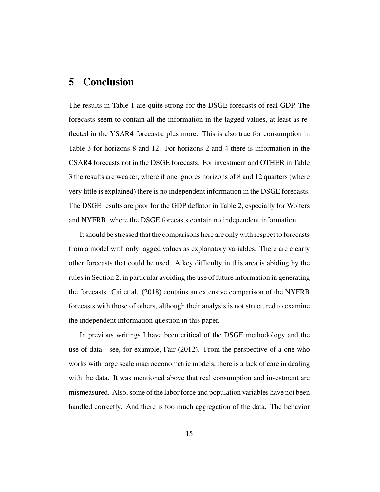# 5 Conclusion

The results in Table 1 are quite strong for the DSGE forecasts of real GDP. The forecasts seem to contain all the information in the lagged values, at least as reflected in the YSAR4 forecasts, plus more. This is also true for consumption in Table 3 for horizons 8 and 12. For horizons 2 and 4 there is information in the CSAR4 forecasts not in the DSGE forecasts. For investment and OTHER in Table 3 the results are weaker, where if one ignores horizons of 8 and 12 quarters (where very little is explained) there is no independent information in the DSGE forecasts. The DSGE results are poor for the GDP deflator in Table 2, especially for Wolters and NYFRB, where the DSGE forecasts contain no independent information.

It should be stressed that the comparisons here are only with respect to forecasts from a model with only lagged values as explanatory variables. There are clearly other forecasts that could be used. A key difficulty in this area is abiding by the rules in Section 2, in particular avoiding the use of future information in generating the forecasts. Cai et al. (2018) contains an extensive comparison of the NYFRB forecasts with those of others, although their analysis is not structured to examine the independent information question in this paper.

In previous writings I have been critical of the DSGE methodology and the use of data—see, for example, Fair (2012). From the perspective of a one who works with large scale macroeconometric models, there is a lack of care in dealing with the data. It was mentioned above that real consumption and investment are mismeasured. Also, some of the labor force and population variables have not been handled correctly. And there is too much aggregation of the data. The behavior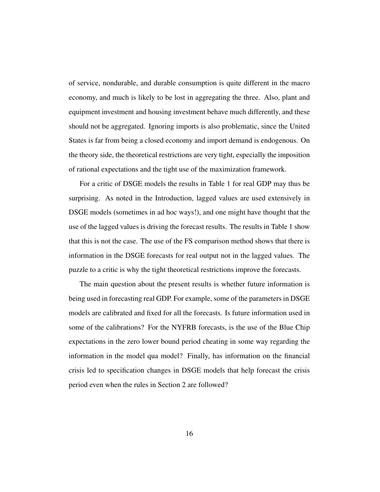of service, nondurable, and durable consumption is quite different in the macro economy, and much is likely to be lost in aggregating the three. Also, plant and equipment investment and housing investment behave much differently, and these should not be aggregated. Ignoring imports is also problematic, since the United States is far from being a closed economy and import demand is endogenous. On the theory side, the theoretical restrictions are very tight, especially the imposition of rational expectations and the tight use of the maximization framework.

For a critic of DSGE models the results in Table 1 for real GDP may thus be surprising. As noted in the Introduction, lagged values are used extensively in DSGE models (sometimes in ad hoc ways!), and one might have thought that the use of the lagged values is driving the forecast results. The results in Table 1 show that this is not the case. The use of the FS comparison method shows that there is information in the DSGE forecasts for real output not in the lagged values. The puzzle to a critic is why the tight theoretical restrictions improve the forecasts.

The main question about the present results is whether future information is being used in forecasting real GDP. For example, some of the parameters in DSGE models are calibrated and fixed for all the forecasts. Is future information used in some of the calibrations? For the NYFRB forecasts, is the use of the Blue Chip expectations in the zero lower bound period cheating in some way regarding the information in the model qua model? Finally, has information on the financial crisis led to specification changes in DSGE models that help forecast the crisis period even when the rules in Section 2 are followed?